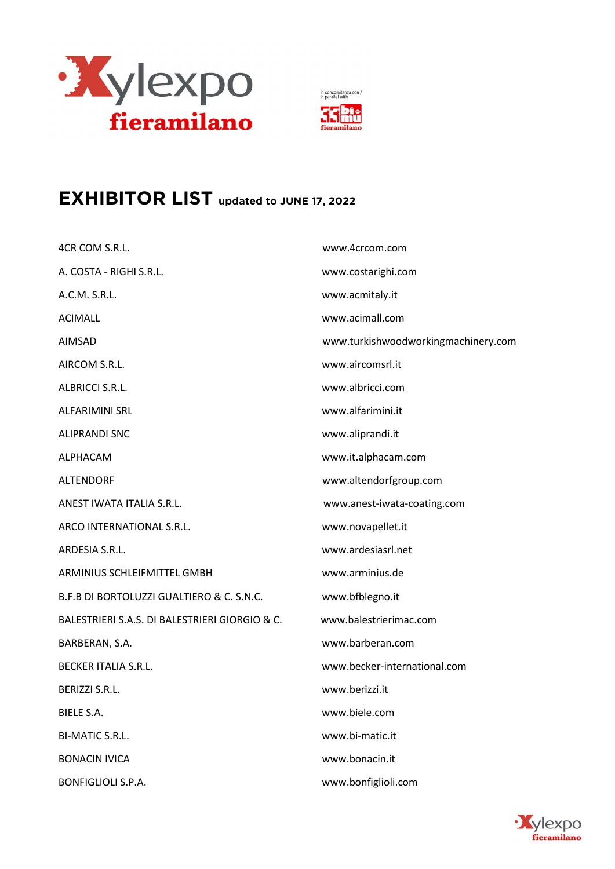

in concomitanza con /<br>in parallel with



## EXHIBITOR LIST updated to JUNE 17, 2022

| 4CR COM S.R.L.                                 | www.4crcom.com                      |
|------------------------------------------------|-------------------------------------|
| A. COSTA - RIGHI S.R.L.                        | www.costarighi.com                  |
| A.C.M. S.R.L.                                  | www.acmitaly.it                     |
| <b>ACIMALL</b>                                 | www.acimall.com                     |
| AIMSAD                                         | www.turkishwoodworkingmachinery.com |
| AIRCOM S.R.L.                                  | www.aircomsrl.it                    |
| ALBRICCI S.R.L.                                | www.albricci.com                    |
| <b>ALFARIMINI SRL</b>                          | www.alfarimini.it                   |
| <b>ALIPRANDI SNC</b>                           | www.aliprandi.it                    |
| ALPHACAM                                       | www.it.alphacam.com                 |
| <b>ALTENDORF</b>                               | www.altendorfgroup.com              |
| ANEST IWATA ITALIA S.R.L.                      | www.anest-iwata-coating.com         |
| ARCO INTERNATIONAL S.R.L.                      | www.novapellet.it                   |
| ARDESIA S.R.L.                                 | www.ardesiasrl.net                  |
| ARMINIUS SCHLEIFMITTEL GMBH                    | www.arminius.de                     |
| B.F.B DI BORTOLUZZI GUALTIERO & C. S.N.C.      | www.bfblegno.it                     |
| BALESTRIERI S.A.S. DI BALESTRIERI GIORGIO & C. | www.balestrierimac.com              |
| BARBERAN, S.A.                                 | www.barberan.com                    |
| <b>BECKER ITALIA S.R.L.</b>                    | www.becker-international.com        |
| BERIZZI S.R.L.                                 | www.berizzi.it                      |
| <b>BIELE S.A.</b>                              | www.biele.com                       |
| <b>BI-MATIC S.R.L.</b>                         | www.bi-matic.it                     |
| <b>BONACIN IVICA</b>                           | www.bonacin.it                      |
| <b>BONFIGLIOLI S.P.A.</b>                      | www.bonfiglioli.com                 |

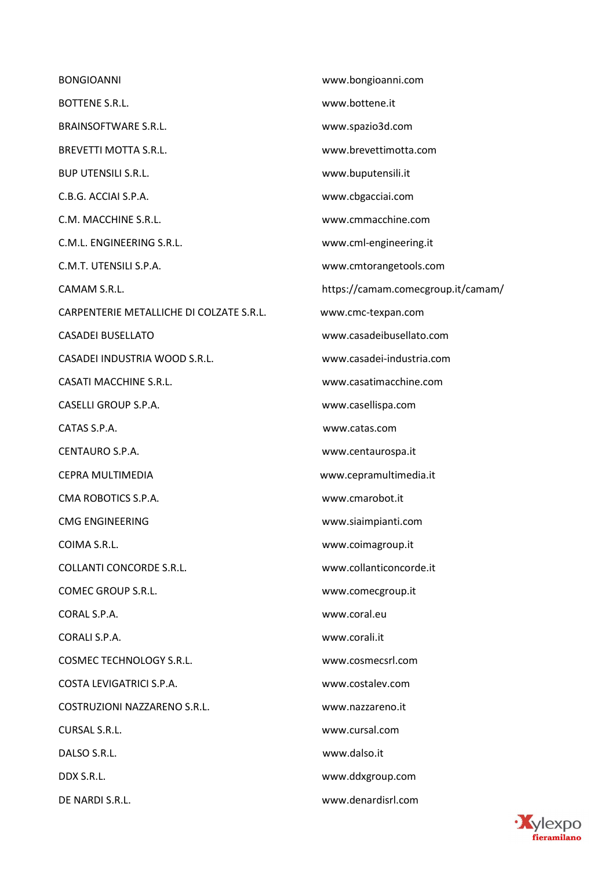BONGIOANNI www.bongioanni.com BOTTENE S.R.L. www.bottene.it BRAINSOFTWARE S.R.L. www.spazio3d.com BREVETTI MOTTA S.R.L. www.brevettimotta.com BUP UTENSILI S.R.L. www.buputensili.it C.B.G. ACCIAI S.P.A. www.cbgacciai.com C.M. MACCHINE S.R.L. www.cmmacchine.com C.M.L. ENGINEERING S.R.L. www.cml-engineering.it C.M.T. UTENSILI S.P.A. www.cmtorangetools.com CAMAM S.R.L. **https://camam.comecgroup.it/camam/** CARPENTERIE METALLICHE DI COLZATE S.R.L. www.cmc-texpan.com CASADEI BUSELLATO www.casadeibusellato.com CASADEI INDUSTRIA WOOD S.R.L. www.casadei-industria.com CASATI MACCHINE S.R.L. www.casatimacchine.com CASELLI GROUP S.P.A. www.casellispa.com CATAS S.P.A. www.catas.com CENTAURO S.P.A. www.centaurospa.it CEPRA MULTIMEDIA www.cepramultimedia.it CMA ROBOTICS S.P.A. www.cmarobot.it CMG ENGINEERING www.siaimpianti.com COIMA S.R.L. www.coimagroup.it COLLANTI CONCORDE S.R.L. www.collanticoncorde.it COMEC GROUP S.R.L. www.comecgroup.it CORAL S.P.A. www.coral.eu CORALI S.P.A. www.corali.it COSMEC TECHNOLOGY S.R.L. www.cosmecsrl.com COSTA LEVIGATRICI S.P.A. www.costalev.com COSTRUZIONI NAZZARENO S.R.L. www.nazzareno.it CURSAL S.R.L. www.cursal.com DALSO S.R.L. www.dalso.it DDX S.R.L. www.ddxgroup.com DE NARDI S.R.L. www.denardisrl.com

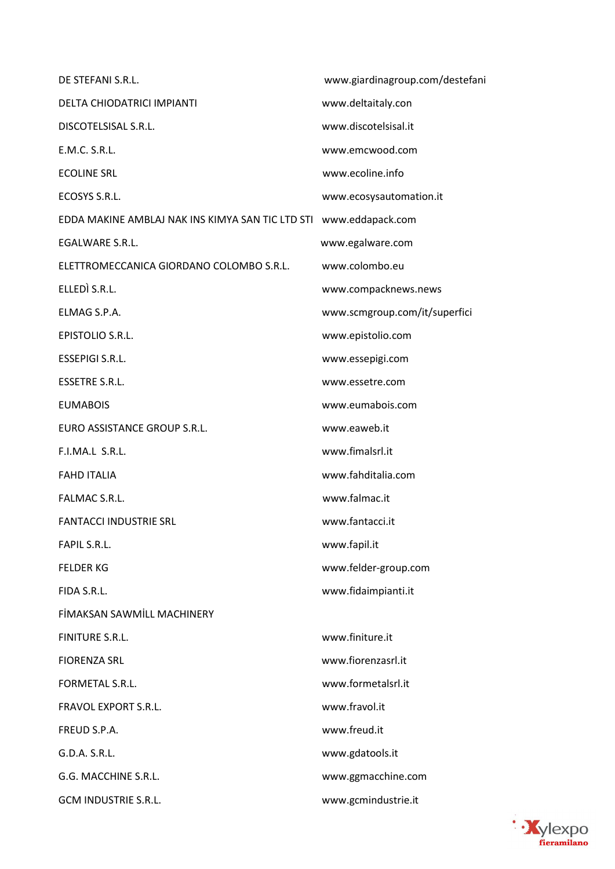www.giardinagroup.com/destefani DE STEFANI S.R.L. DELTA CHIODATRICI IMPIANTI www.deltaitaly.con www.discotelsisal.it **DISCOTELSISAL S.R.L.** E.M.C. S.R.L. www.emcwood.com **ECOLINE SRL** www.ecoline.info ECOSYS S.R.L. www.ecosysautomation.it EDDA MAKINE AMBLAJ NAK INS KIMYA SAN TIC LTD STI www.eddapack.com EGALWARE S.R.L. www.egalware.com ELETTROMECCANICA GIORDANO COLOMBO S.R.L. www.colombo.eu ELLEDÌ S.R.L. www.compacknews.news **FLMAG S.P.A.** www.scmgroup.com/it/superfici EPISTOLIO S.R.L. www.epistolio.com **ESSEPIGI S.R.L.** www.essepigi.com **ESSETRE S.R.L.** www.essetre.com **EUMABOIS** www.eumabois.com EURO ASSISTANCE GROUP S.R.L. www.eaweb.it F.I.MA.L. S.R.L. www.fimalsrl.it **FAHD ITALIA** www.fahditalia.com FALMAC S.R.L. www.falmac.it **FANTACCI INDUSTRIE SRL** www.fantacci.it FAPIL S.R.L. www.fapil.it **FELDER KG** www.felder-group.com www.fidaimpianti.it FIDA S.R.L. **FİMAKSAN SAWMİLL MACHINERY** FINITURE S.R.L. www.finiture.it **FIORENZA SRL** www.fiorenzasrl.it FORMETAL S.R.L. www.formetalsrl.it **FRAVOL EXPORT S.R.L.** www.fravol.it www.freud.it FREUD S.P.A.  $G.D.A.S.R.L.$ www.gdatools.it G.G. MACCHINE S.R.L. www.ggmacchine.com **GCM INDUSTRIE S.R.L.** www.gcmindustrie.it

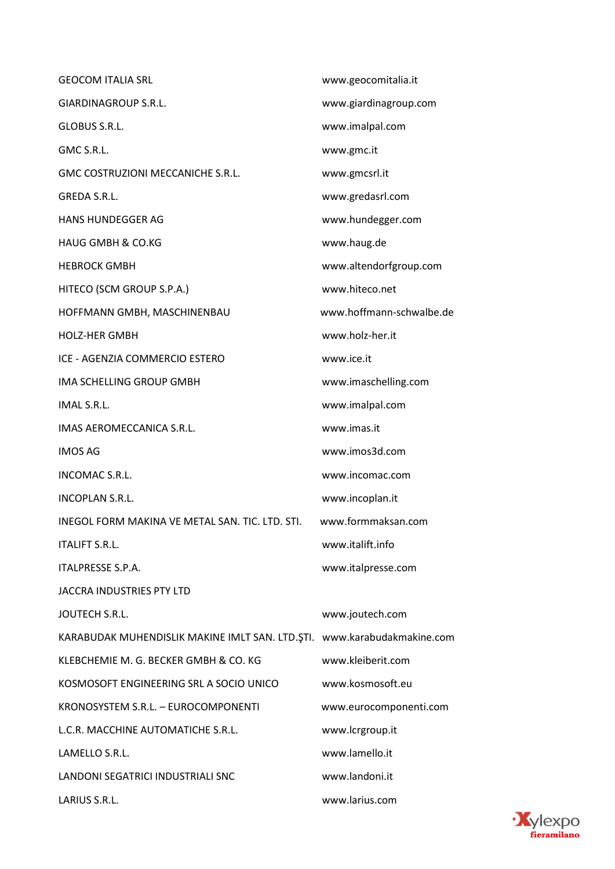| <b>GEOCOM ITALIA SRL</b>                                                | www.geocomitalia.it      |
|-------------------------------------------------------------------------|--------------------------|
| GIARDINAGROUP S.R.L.                                                    | www.giardinagroup.com    |
| GLOBUS S.R.L.                                                           | www.imalpal.com          |
| GMC S.R.L.                                                              | www.gmc.it               |
| GMC COSTRUZIONI MECCANICHE S.R.L.                                       | www.gmcsrl.it            |
| GREDA S.R.L.                                                            | www.gredasrl.com         |
| <b>HANS HUNDEGGER AG</b>                                                | www.hundegger.com        |
| <b>HAUG GMBH &amp; CO.KG</b>                                            | www.haug.de              |
| <b>HEBROCK GMBH</b>                                                     | www.altendorfgroup.com   |
| HITECO (SCM GROUP S.P.A.)                                               | www.hiteco.net           |
| HOFFMANN GMBH, MASCHINENBAU                                             | www.hoffmann-schwalbe.de |
| <b>HOLZ-HER GMBH</b>                                                    | www.holz-her.it          |
| ICE - AGENZIA COMMERCIO ESTERO                                          | www.ice.it               |
| IMA SCHELLING GROUP GMBH                                                | www.imaschelling.com     |
| IMAL S.R.L.                                                             | www.imalpal.com          |
| IMAS AEROMECCANICA S.R.L.                                               | www.imas.it              |
| <b>IMOS AG</b>                                                          | www.imos3d.com           |
| INCOMAC S.R.L.                                                          | www.incomac.com          |
| <b>INCOPLAN S.R.L.</b>                                                  | www.incoplan.it          |
| INEGOL FORM MAKINA VE METAL SAN. TIC. LTD. STI.                         | www.formmaksan.com       |
| <b>ITALIFT S.R.L.</b>                                                   | www.italift.info         |
| ITALPRESSE S.P.A.                                                       | www.italpresse.com       |
| JACCRA INDUSTRIES PTY LTD                                               |                          |
| JOUTECH S.R.L.                                                          | www.joutech.com          |
| KARABUDAK MUHENDISLIK MAKINE IMLT SAN. LTD.ŞTI. www.karabudakmakine.com |                          |
| KLEBCHEMIE M. G. BECKER GMBH & CO. KG                                   | www.kleiberit.com        |
| KOSMOSOFT ENGINEERING SRL A SOCIO UNICO                                 | www.kosmosoft.eu         |
| KRONOSYSTEM S.R.L. - EUROCOMPONENTI                                     | www.eurocomponenti.com   |
| L.C.R. MACCHINE AUTOMATICHE S.R.L.                                      | www.lcrgroup.it          |
| LAMELLO S.R.L.                                                          | www.lamello.it           |
| LANDONI SEGATRICI INDUSTRIALI SNC                                       | www.landoni.it           |
| LARIUS S.R.L.                                                           | www.larius.com           |

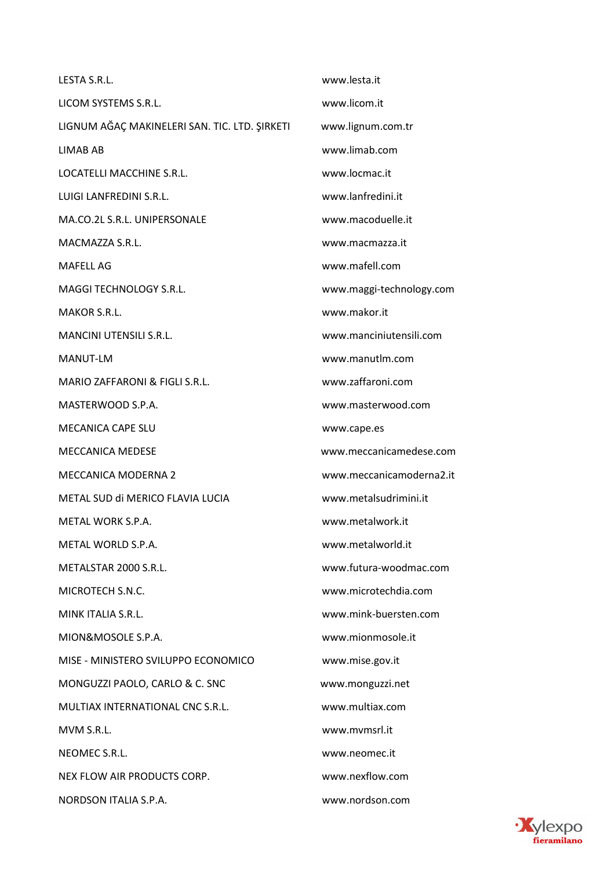| LESTA S.R.L.                                  | www.lesta.it             |
|-----------------------------------------------|--------------------------|
| LICOM SYSTEMS S.R.L.                          | www.licom.it             |
| LIGNUM AĞAÇ MAKINELERI SAN. TIC. LTD. ŞIRKETI | www.lignum.com.tr        |
| LIMAB AB                                      | www.limab.com            |
| LOCATELLI MACCHINE S.R.L.                     | www.locmac.it            |
| LUIGI LANFREDINI S.R.L.                       | www.lanfredini.it        |
| MA.CO.2L S.R.L. UNIPERSONALE                  | www.macoduelle.it        |
| MACMAZZA S.R.L.                               | www.macmazza.it          |
| <b>MAFELL AG</b>                              | www.mafell.com           |
| MAGGI TECHNOLOGY S.R.L.                       | www.maggi-technology.com |
| MAKOR S.R.L.                                  | www.makor.it             |
| <b>MANCINI UTENSILI S.R.L.</b>                | www.manciniutensili.com  |
| <b>MANUT-LM</b>                               | www.manutlm.com          |
| MARIO ZAFFARONI & FIGLI S.R.L.                | www.zaffaroni.com        |
| MASTERWOOD S.P.A.                             | www.masterwood.com       |
| <b>MECANICA CAPE SLU</b>                      | www.cape.es              |
| <b>MECCANICA MEDESE</b>                       | www.meccanicamedese.com  |
| <b>MECCANICA MODERNA 2</b>                    | www.meccanicamoderna2.it |
| METAL SUD di MERICO FLAVIA LUCIA              | www.metalsudrimini.it    |
| METAL WORK S.P.A.                             | www.metalwork.it         |
| METAL WORLD S.P.A.                            | www.metalworld.it        |
| METALSTAR 2000 S.R.L.                         | www.futura-woodmac.com   |
| MICROTECH S.N.C.                              | www.microtechdia.com     |
| MINK ITALIA S.R.L.                            | www.mink-buersten.com    |
| MION&MOSOLE S.P.A.                            | www.mionmosole.it        |
| MISE - MINISTERO SVILUPPO ECONOMICO           | www.mise.gov.it          |
| MONGUZZI PAOLO, CARLO & C. SNC                | www.monguzzi.net         |
| MULTIAX INTERNATIONAL CNC S.R.L.              | www.multiax.com          |
| MVM S.R.L.                                    | www.mvmsrl.it            |
| NEOMEC S.R.L.                                 | www.neomec.it            |
| NEX FLOW AIR PRODUCTS CORP.                   | www.nexflow.com          |
| NORDSON ITALIA S.P.A.                         | www.nordson.com          |

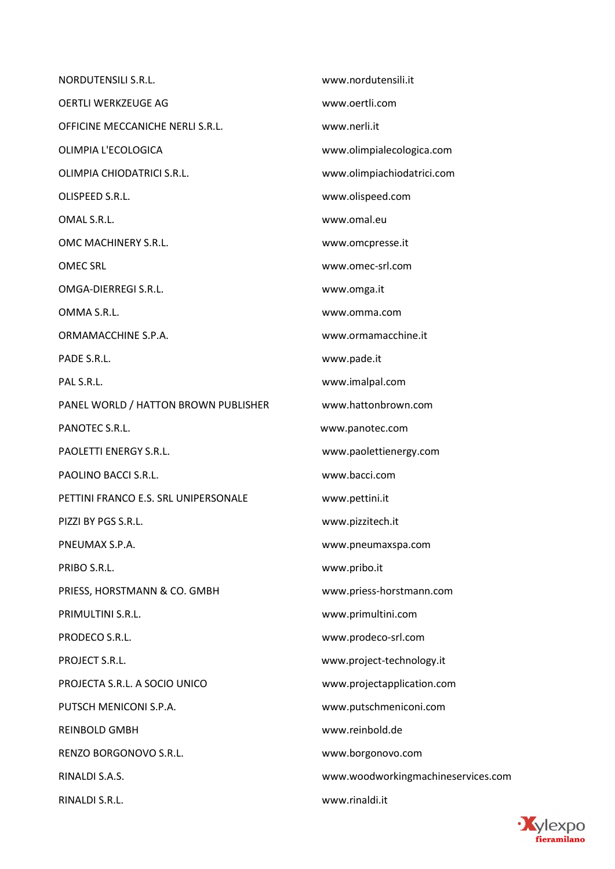NORDUTENSILI S.R.L. www.nordutensili.it OERTLI WERKZEUGE AG www.oertli.com OFFICINE MECCANICHE NERLI S.R.L. www.nerli.it OLIMPIA L'ECOLOGICA www.olimpialecologica.com OLIMPIA CHIODATRICI S.R.L. www.olimpiachiodatrici.com OLISPEED S.R.L. www.olispeed.com OMAL S.R.L. www.omal.eu OMC MACHINERY S.R.L. www.omcpresse.it OMEC SRL www.omec-srl.com OMGA-DIERREGI S.R.L. www.omga.it OMMA S.R.L. www.omma.com ORMAMACCHINE S.P.A. www.ormamacchine.it PADE S.R.L. WWW.pade.it PAL S.R.L. www.imalpal.com PANEL WORLD / HATTON BROWN PUBLISHER www.hattonbrown.com PANOTEC S.R.L. www.panotec.com PAOLETTI ENERGY S.R.L. www.paolettienergy.com PAOLINO BACCI S.R.L. www.bacci.com PETTINI FRANCO E.S. SRL UNIPERSONALE www.pettini.it PIZZI BY PGS S.R.L. www.pizzitech.it PNEUMAX S.P.A. www.pneumaxspa.com PRIBO S.R.L. www.pribo.it PRIESS, HORSTMANN & CO. GMBH www.priess-horstmann.com PRIMULTINI S.R.L. www.primultini.com PRODECO S.R.L. www.prodeco-srl.com PROJECT S.R.L. www.project-technology.it PROJECTA S.R.L. A SOCIO UNICO www.projectapplication.com PUTSCH MENICONI S.P.A. www.putschmeniconi.com REINBOLD GMBH www.reinbold.de RENZO BORGONOVO S.R.L. www.borgonovo.com RINALDI S.A.S. www.woodworkingmachineservices.com RINALDI S.R.L. www.rinaldi.it

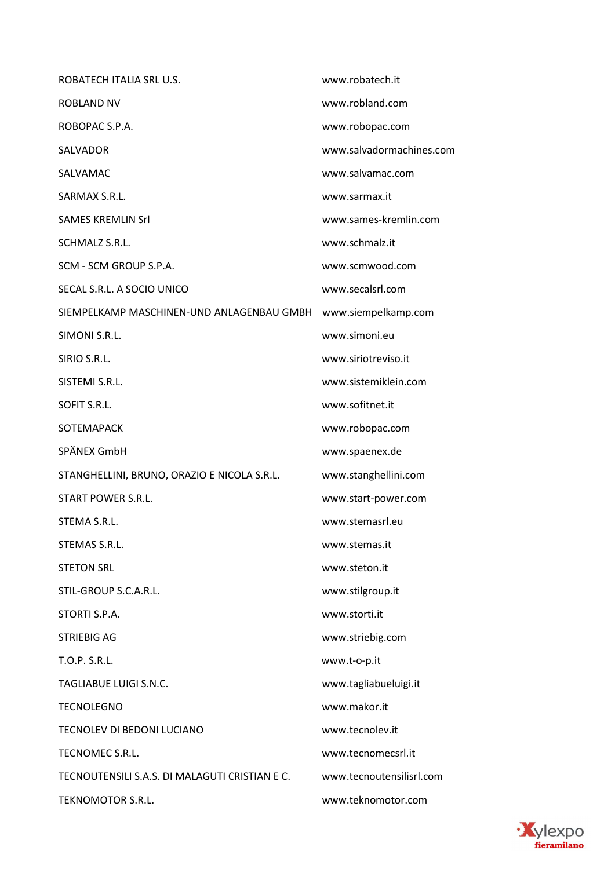| ROBATECH ITALIA SRL U.S.                       | www.robatech.it          |
|------------------------------------------------|--------------------------|
| <b>ROBLAND NV</b>                              | www.robland.com          |
| ROBOPAC S.P.A.                                 | www.robopac.com          |
| <b>SALVADOR</b>                                | www.salvadormachines.com |
| SALVAMAC                                       | www.salvamac.com         |
| SARMAX S.R.L.                                  | www.sarmax.it            |
| <b>SAMES KREMLIN Srl</b>                       | www.sames-kremlin.com    |
| SCHMALZ S.R.L.                                 | www.schmalz.it           |
| SCM - SCM GROUP S.P.A.                         | www.scmwood.com          |
| SECAL S.R.L. A SOCIO UNICO                     | www.secalsrl.com         |
| SIEMPELKAMP MASCHINEN-UND ANLAGENBAU GMBH      | www.siempelkamp.com      |
| SIMONI S.R.L.                                  | www.simoni.eu            |
| SIRIO S.R.L.                                   | www.siriotreviso.it      |
| SISTEMI S.R.L.                                 | www.sistemiklein.com     |
| SOFIT S.R.L.                                   | www.sofitnet.it          |
| SOTEMAPACK                                     | www.robopac.com          |
| SPÄNEX GmbH                                    | www.spaenex.de           |
| STANGHELLINI, BRUNO, ORAZIO E NICOLA S.R.L.    | www.stanghellini.com     |
| <b>START POWER S.R.L.</b>                      | www.start-power.com      |
| STEMA S.R.L.                                   | www.stemasrl.eu          |
| STEMAS S.R.L.                                  | www.stemas.it            |
| <b>STETON SRL</b>                              | www.steton.it            |
| STIL-GROUP S.C.A.R.L.                          | www.stilgroup.it         |
| STORTI S.P.A.                                  | www.storti.it            |
| <b>STRIEBIG AG</b>                             | www.striebig.com         |
| T.O.P. S.R.L.                                  | www.t-o-p.it             |
| TAGLIABUE LUIGI S.N.C.                         | www.tagliabueluigi.it    |
| <b>TECNOLEGNO</b>                              | www.makor.it             |
| TECNOLEV DI BEDONI LUCIANO                     | www.tecnolev.it          |
| TECNOMEC S.R.L.                                | www.tecnomecsrl.it       |
| TECNOUTENSILI S.A.S. DI MALAGUTI CRISTIAN E C. | www.tecnoutensilisrl.com |
| TEKNOMOTOR S.R.L.                              | www.teknomotor.com       |